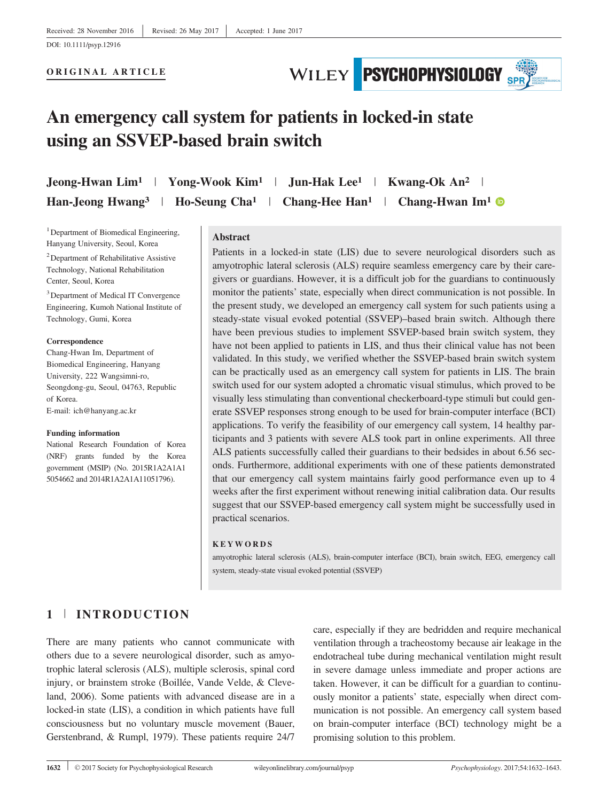## ORIGINAL ARTICLE



# An emergency call system for patients in locked-in state using an SSVEP-based brain switch

| Jeong-Hwan Lim <sup>1</sup>   Yong-Wook Kim <sup>1</sup>   Jun-Hak Lee <sup>1</sup>   Kwang-Ok An <sup>2</sup>     |  |  |  |
|--------------------------------------------------------------------------------------------------------------------|--|--|--|
| Han-Jeong Hwang <sup>3</sup>   Ho-Seung Cha <sup>1</sup>   Chang-Hee Han <sup>1</sup>   Chang-Hwan Im <sup>1</sup> |  |  |  |

<sup>1</sup> Department of Biomedical Engineering, Hanyang University, Seoul, Korea

2 Department of Rehabilitative Assistive Technology, National Rehabilitation Center, Seoul, Korea

<sup>3</sup> Department of Medical IT Convergence Engineering, Kumoh National Institute of Technology, Gumi, Korea

#### Correspondence

Chang-Hwan Im, Department of Biomedical Engineering, Hanyang University, 222 Wangsimni-ro, Seongdong-gu, Seoul, 04763, Republic of Korea. E-mail: ich@hanyang.ac.kr

#### Funding information

National Research Foundation of Korea (NRF) grants funded by the Korea government (MSIP) (No. 2015R1A2A1A1 5054662 and 2014R1A2A1A11051796).

#### Abstract

Patients in a locked-in state (LIS) due to severe neurological disorders such as amyotrophic lateral sclerosis (ALS) require seamless emergency care by their caregivers or guardians. However, it is a difficult job for the guardians to continuously monitor the patients' state, especially when direct communication is not possible. In the present study, we developed an emergency call system for such patients using a steady-state visual evoked potential (SSVEP)–based brain switch. Although there have been previous studies to implement SSVEP-based brain switch system, they have not been applied to patients in LIS, and thus their clinical value has not been validated. In this study, we verified whether the SSVEP-based brain switch system can be practically used as an emergency call system for patients in LIS. The brain switch used for our system adopted a chromatic visual stimulus, which proved to be visually less stimulating than conventional checkerboard-type stimuli but could generate SSVEP responses strong enough to be used for brain-computer interface (BCI) applications. To verify the feasibility of our emergency call system, 14 healthy participants and 3 patients with severe ALS took part in online experiments. All three ALS patients successfully called their guardians to their bedsides in about 6.56 seconds. Furthermore, additional experiments with one of these patients demonstrated that our emergency call system maintains fairly good performance even up to 4 weeks after the first experiment without renewing initial calibration data. Our results suggest that our SSVEP-based emergency call system might be successfully used in practical scenarios.

### **KEYWORDS**

amyotrophic lateral sclerosis (ALS), brain-computer interface (BCI), brain switch, EEG, emergency call system, steady-state visual evoked potential (SSVEP)

## 1 <sup>|</sup> INTRODUCTION

There are many patients who cannot communicate with others due to a severe neurological disorder, such as amyotrophic lateral sclerosis (ALS), multiple sclerosis, spinal cord injury, or brainstem stroke (Boillée, Vande Velde, & Cleveland, 2006). Some patients with advanced disease are in a locked-in state (LIS), a condition in which patients have full consciousness but no voluntary muscle movement (Bauer, Gerstenbrand, & Rumpl, 1979). These patients require 24/7 care, especially if they are bedridden and require mechanical ventilation through a tracheostomy because air leakage in the endotracheal tube during mechanical ventilation might result in severe damage unless immediate and proper actions are taken. However, it can be difficult for a guardian to continuously monitor a patients' state, especially when direct communication is not possible. An emergency call system based on brain-computer interface (BCI) technology might be a promising solution to this problem.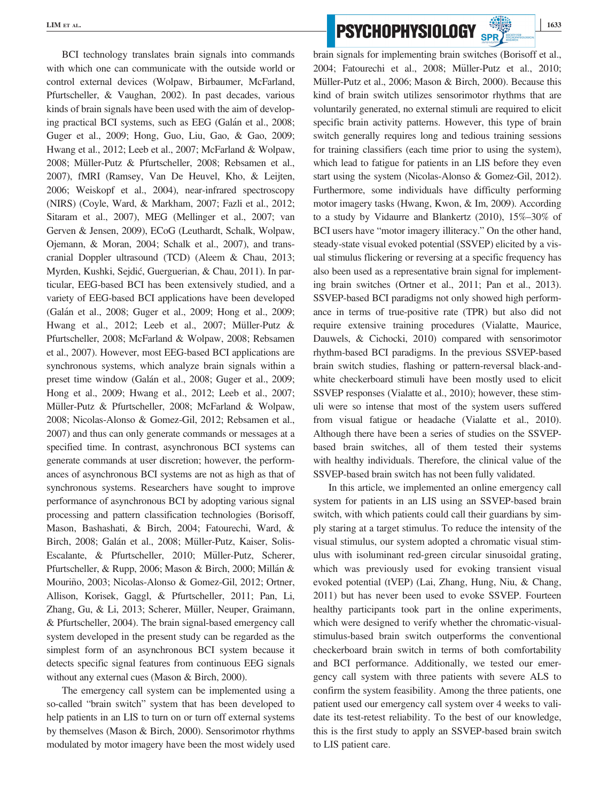BCI technology translates brain signals into commands with which one can communicate with the outside world or control external devices (Wolpaw, Birbaumer, McFarland, Pfurtscheller, & Vaughan, 2002). In past decades, various kinds of brain signals have been used with the aim of developing practical BCI systems, such as EEG (Galán et al., 2008; Guger et al., 2009; Hong, Guo, Liu, Gao, & Gao, 2009; Hwang et al., 2012; Leeb et al., 2007; McFarland & Wolpaw, 2008; Müller-Putz & Pfurtscheller, 2008; Rebsamen et al., 2007), fMRI (Ramsey, Van De Heuvel, Kho, & Leijten, 2006; Weiskopf et al., 2004), near-infrared spectroscopy (NIRS) (Coyle, Ward, & Markham, 2007; Fazli et al., 2012; Sitaram et al., 2007), MEG (Mellinger et al., 2007; van Gerven & Jensen, 2009), ECoG (Leuthardt, Schalk, Wolpaw, Ojemann, & Moran, 2004; Schalk et al., 2007), and transcranial Doppler ultrasound (TCD) (Aleem & Chau, 2013; Myrden, Kushki, Sejdić, Guerguerian, & Chau, 2011). In particular, EEG-based BCI has been extensively studied, and a variety of EEG-based BCI applications have been developed (Galán et al., 2008; Guger et al., 2009; Hong et al., 2009; Hwang et al., 2012; Leeb et al., 2007; Müller-Putz  $\&$ Pfurtscheller, 2008; McFarland & Wolpaw, 2008; Rebsamen et al., 2007). However, most EEG-based BCI applications are synchronous systems, which analyze brain signals within a preset time window (Galán et al., 2008; Guger et al., 2009; Hong et al., 2009; Hwang et al., 2012; Leeb et al., 2007; Müller-Putz & Pfurtscheller, 2008; McFarland & Wolpaw, 2008; Nicolas-Alonso & Gomez-Gil, 2012; Rebsamen et al., 2007) and thus can only generate commands or messages at a specified time. In contrast, asynchronous BCI systems can generate commands at user discretion; however, the performances of asynchronous BCI systems are not as high as that of synchronous systems. Researchers have sought to improve performance of asynchronous BCI by adopting various signal processing and pattern classification technologies (Borisoff, Mason, Bashashati, & Birch, 2004; Fatourechi, Ward, & Birch, 2008; Galán et al., 2008; Müller-Putz, Kaiser, Solis-Escalante, & Pfurtscheller, 2010; Müller-Putz, Scherer, Pfurtscheller, & Rupp, 2006; Mason & Birch, 2000; Millán & Mouriño, 2003; Nicolas-Alonso & Gomez-Gil, 2012; Ortner, Allison, Korisek, Gaggl, & Pfurtscheller, 2011; Pan, Li, Zhang, Gu, & Li, 2013; Scherer, Müller, Neuper, Graimann, & Pfurtscheller, 2004). The brain signal-based emergency call system developed in the present study can be regarded as the simplest form of an asynchronous BCI system because it detects specific signal features from continuous EEG signals without any external cues (Mason & Birch, 2000).

The emergency call system can be implemented using a so-called "brain switch" system that has been developed to help patients in an LIS to turn on or turn off external systems by themselves (Mason & Birch, 2000). Sensorimotor rhythms modulated by motor imagery have been the most widely used

 $\frac{LIMET AL.}{NEMED}$  PSYCHOPHYSIOLOGY  $\frac{3332}{SPR}$ 

brain signals for implementing brain switches (Borisoff et al., 2004; Fatourechi et al., 2008; Müller-Putz et al., 2010; Müller-Putz et al., 2006; Mason & Birch, 2000). Because this kind of brain switch utilizes sensorimotor rhythms that are voluntarily generated, no external stimuli are required to elicit specific brain activity patterns. However, this type of brain switch generally requires long and tedious training sessions for training classifiers (each time prior to using the system), which lead to fatigue for patients in an LIS before they even start using the system (Nicolas-Alonso & Gomez-Gil, 2012). Furthermore, some individuals have difficulty performing motor imagery tasks (Hwang, Kwon, & Im, 2009). According to a study by Vidaurre and Blankertz (2010), 15%–30% of BCI users have "motor imagery illiteracy." On the other hand, steady-state visual evoked potential (SSVEP) elicited by a visual stimulus flickering or reversing at a specific frequency has also been used as a representative brain signal for implementing brain switches (Ortner et al., 2011; Pan et al., 2013). SSVEP-based BCI paradigms not only showed high performance in terms of true-positive rate (TPR) but also did not require extensive training procedures (Vialatte, Maurice, Dauwels, & Cichocki, 2010) compared with sensorimotor rhythm-based BCI paradigms. In the previous SSVEP-based brain switch studies, flashing or pattern-reversal black-andwhite checkerboard stimuli have been mostly used to elicit SSVEP responses (Vialatte et al., 2010); however, these stimuli were so intense that most of the system users suffered from visual fatigue or headache (Vialatte et al., 2010). Although there have been a series of studies on the SSVEPbased brain switches, all of them tested their systems with healthy individuals. Therefore, the clinical value of the SSVEP-based brain switch has not been fully validated.

In this article, we implemented an online emergency call system for patients in an LIS using an SSVEP-based brain switch, with which patients could call their guardians by simply staring at a target stimulus. To reduce the intensity of the visual stimulus, our system adopted a chromatic visual stimulus with isoluminant red-green circular sinusoidal grating, which was previously used for evoking transient visual evoked potential (tVEP) (Lai, Zhang, Hung, Niu, & Chang, 2011) but has never been used to evoke SSVEP. Fourteen healthy participants took part in the online experiments, which were designed to verify whether the chromatic-visualstimulus-based brain switch outperforms the conventional checkerboard brain switch in terms of both comfortability and BCI performance. Additionally, we tested our emergency call system with three patients with severe ALS to confirm the system feasibility. Among the three patients, one patient used our emergency call system over 4 weeks to validate its test-retest reliability. To the best of our knowledge, this is the first study to apply an SSVEP-based brain switch to LIS patient care.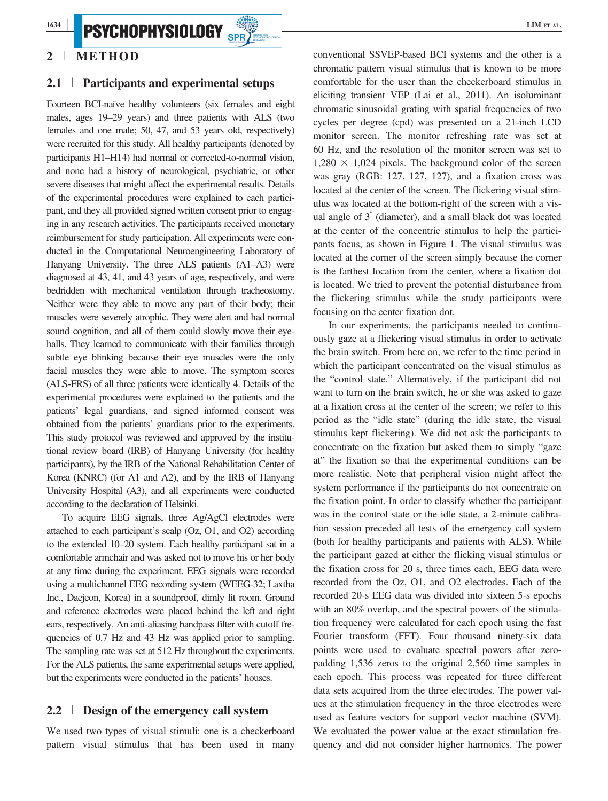### 2 <sup>|</sup> METHOD

### 2.1 <sup>|</sup> Participants and experimental setups

Fourteen BCI-naïve healthy volunteers (six females and eight males, ages 19–29 years) and three patients with ALS (two females and one male; 50, 47, and 53 years old, respectively) were recruited for this study. All healthy participants (denoted by participants H1–H14) had normal or corrected-to-normal vision, and none had a history of neurological, psychiatric, or other severe diseases that might affect the experimental results. Details of the experimental procedures were explained to each participant, and they all provided signed written consent prior to engaging in any research activities. The participants received monetary reimbursement for study participation. All experiments were conducted in the Computational Neuroengineering Laboratory of Hanyang University. The three ALS patients (A1–A3) were diagnosed at 43, 41, and 43 years of age, respectively, and were bedridden with mechanical ventilation through tracheostomy. Neither were they able to move any part of their body; their muscles were severely atrophic. They were alert and had normal sound cognition, and all of them could slowly move their eyeballs. They learned to communicate with their families through subtle eye blinking because their eye muscles were the only facial muscles they were able to move. The symptom scores (ALS-FRS) of all three patients were identically 4. Details of the experimental procedures were explained to the patients and the patients' legal guardians, and signed informed consent was obtained from the patients' guardians prior to the experiments. This study protocol was reviewed and approved by the institutional review board (IRB) of Hanyang University (for healthy participants), by the IRB of the National Rehabilitation Center of Korea (KNRC) (for A1 and A2), and by the IRB of Hanyang University Hospital (A3), and all experiments were conducted according to the declaration of Helsinki.

To acquire EEG signals, three Ag/AgCl electrodes were attached to each participant's scalp (Oz, O1, and O2) according to the extended 10–20 system. Each healthy participant sat in a comfortable armchair and was asked not to move his or her body at any time during the experiment. EEG signals were recorded using a multichannel EEG recording system (WEEG-32; Laxtha Inc., Daejeon, Korea) in a soundproof, dimly lit room. Ground and reference electrodes were placed behind the left and right ears, respectively. An anti-aliasing bandpass filter with cutoff frequencies of 0.7 Hz and 43 Hz was applied prior to sampling. The sampling rate was set at 512 Hz throughout the experiments. For the ALS patients, the same experimental setups were applied, but the experiments were conducted in the patients' houses.

## 2.2 <sup>|</sup> Design of the emergency call system

We used two types of visual stimuli: one is a checkerboard pattern visual stimulus that has been used in many conventional SSVEP-based BCI systems and the other is a chromatic pattern visual stimulus that is known to be more comfortable for the user than the checkerboard stimulus in eliciting transient VEP (Lai et al., 2011). An isoluminant chromatic sinusoidal grating with spatial frequencies of two cycles per degree (cpd) was presented on a 21-inch LCD monitor screen. The monitor refreshing rate was set at 60 Hz, and the resolution of the monitor screen was set to  $1,280 \times 1,024$  pixels. The background color of the screen was gray (RGB: 127, 127, 127), and a fixation cross was located at the center of the screen. The flickering visual stimulus was located at the bottom-right of the screen with a visual angle of  $3<sup>°</sup>$  (diameter), and a small black dot was located at the center of the concentric stimulus to help the participants focus, as shown in Figure 1. The visual stimulus was located at the corner of the screen simply because the corner is the farthest location from the center, where a fixation dot is located. We tried to prevent the potential disturbance from the flickering stimulus while the study participants were focusing on the center fixation dot.

In our experiments, the participants needed to continuously gaze at a flickering visual stimulus in order to activate the brain switch. From here on, we refer to the time period in which the participant concentrated on the visual stimulus as the "control state." Alternatively, if the participant did not want to turn on the brain switch, he or she was asked to gaze at a fixation cross at the center of the screen; we refer to this period as the "idle state" (during the idle state, the visual stimulus kept flickering). We did not ask the participants to concentrate on the fixation but asked them to simply "gaze at" the fixation so that the experimental conditions can be more realistic. Note that peripheral vision might affect the system performance if the participants do not concentrate on the fixation point. In order to classify whether the participant was in the control state or the idle state, a 2-minute calibration session preceded all tests of the emergency call system (both for healthy participants and patients with ALS). While the participant gazed at either the flicking visual stimulus or the fixation cross for 20 s, three times each, EEG data were recorded from the Oz, O1, and O2 electrodes. Each of the recorded 20-s EEG data was divided into sixteen 5-s epochs with an 80% overlap, and the spectral powers of the stimulation frequency were calculated for each epoch using the fast Fourier transform (FFT). Four thousand ninety-six data points were used to evaluate spectral powers after zeropadding 1,536 zeros to the original 2,560 time samples in each epoch. This process was repeated for three different data sets acquired from the three electrodes. The power values at the stimulation frequency in the three electrodes were used as feature vectors for support vector machine (SVM). We evaluated the power value at the exact stimulation frequency and did not consider higher harmonics. The power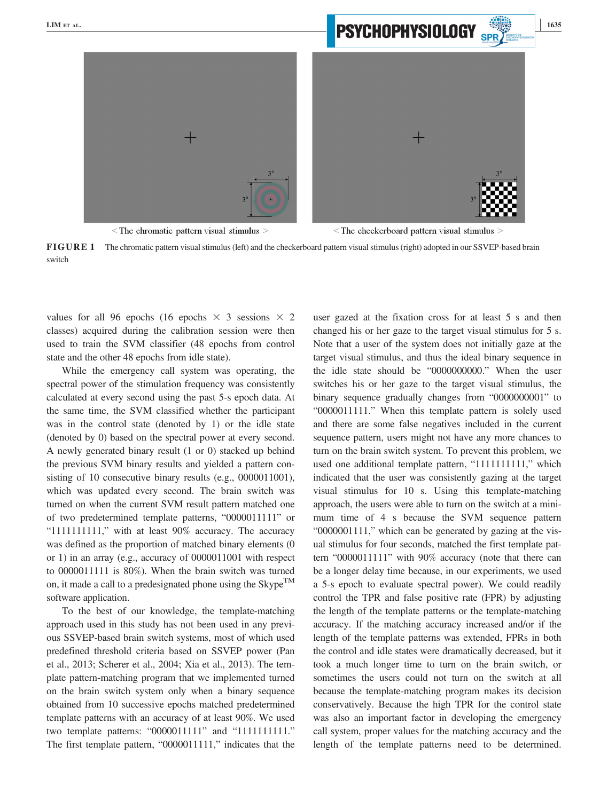# $\frac{LIMET AL.}{NEMED}$  PSYCHOPHYSIOLOGY  $\frac{1635}{SPR}$





 $<$ The chromatic pattern visual stimulus  $>$ 

 $\le$ The checkerboard pattern visual stimulus  $\ge$ 

FIGURE 1 The chromatic pattern visual stimulus (left) and the checkerboard pattern visual stimulus (right) adopted in our SSVEP-based brain switch

values for all 96 epochs (16 epochs  $\times$  3 sessions  $\times$  2 classes) acquired during the calibration session were then used to train the SVM classifier (48 epochs from control state and the other 48 epochs from idle state).

While the emergency call system was operating, the spectral power of the stimulation frequency was consistently calculated at every second using the past 5-s epoch data. At the same time, the SVM classified whether the participant was in the control state (denoted by 1) or the idle state (denoted by 0) based on the spectral power at every second. A newly generated binary result (1 or 0) stacked up behind the previous SVM binary results and yielded a pattern consisting of 10 consecutive binary results (e.g., 0000011001), which was updated every second. The brain switch was turned on when the current SVM result pattern matched one of two predetermined template patterns, "0000011111" or "11111111111," with at least 90% accuracy. The accuracy was defined as the proportion of matched binary elements (0 or 1) in an array (e.g., accuracy of 0000011001 with respect to 0000011111 is 80%). When the brain switch was turned on, it made a call to a predesignated phone using the  $\text{Skype}^{\text{TM}}$ software application.

To the best of our knowledge, the template-matching approach used in this study has not been used in any previous SSVEP-based brain switch systems, most of which used predefined threshold criteria based on SSVEP power (Pan et al., 2013; Scherer et al., 2004; Xia et al., 2013). The template pattern-matching program that we implemented turned on the brain switch system only when a binary sequence obtained from 10 successive epochs matched predetermined template patterns with an accuracy of at least 90%. We used two template patterns: "0000011111" and "1111111111." The first template pattern, "0000011111," indicates that the

user gazed at the fixation cross for at least 5 s and then changed his or her gaze to the target visual stimulus for 5 s. Note that a user of the system does not initially gaze at the target visual stimulus, and thus the ideal binary sequence in the idle state should be "0000000000." When the user switches his or her gaze to the target visual stimulus, the binary sequence gradually changes from "0000000001" to "0000011111." When this template pattern is solely used and there are some false negatives included in the current sequence pattern, users might not have any more chances to turn on the brain switch system. To prevent this problem, we used one additional template pattern, "1111111111," which indicated that the user was consistently gazing at the target visual stimulus for 10 s. Using this template-matching approach, the users were able to turn on the switch at a minimum time of 4 s because the SVM sequence pattern "0000001111," which can be generated by gazing at the visual stimulus for four seconds, matched the first template pattern "0000011111" with 90% accuracy (note that there can be a longer delay time because, in our experiments, we used a 5-s epoch to evaluate spectral power). We could readily control the TPR and false positive rate (FPR) by adjusting the length of the template patterns or the template-matching accuracy. If the matching accuracy increased and/or if the length of the template patterns was extended, FPRs in both the control and idle states were dramatically decreased, but it took a much longer time to turn on the brain switch, or sometimes the users could not turn on the switch at all because the template-matching program makes its decision conservatively. Because the high TPR for the control state was also an important factor in developing the emergency call system, proper values for the matching accuracy and the length of the template patterns need to be determined.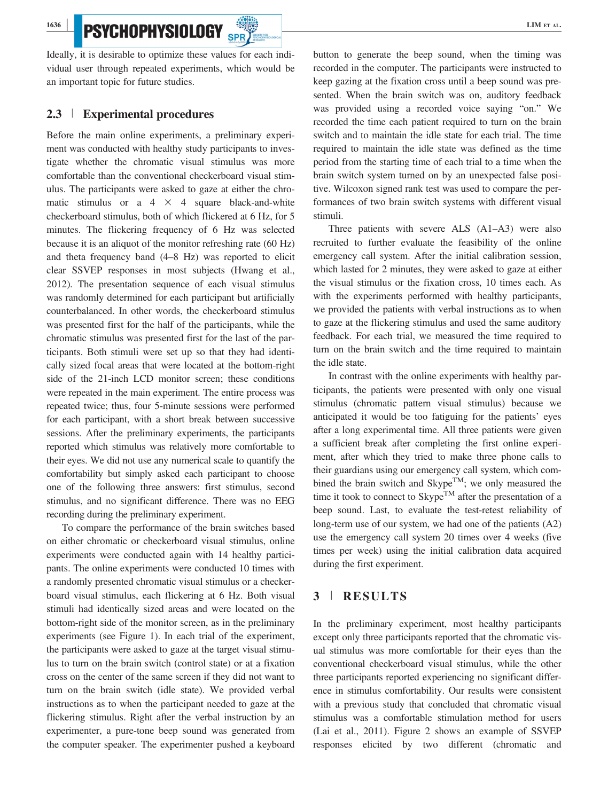# **1636 | PSYCHOPHYSIOLOGY SPR SECOND CONTROL**

Ideally, it is desirable to optimize these values for each individual user through repeated experiments, which would be an important topic for future studies.

## 2.3 <sup>|</sup> Experimental procedures

Before the main online experiments, a preliminary experiment was conducted with healthy study participants to investigate whether the chromatic visual stimulus was more comfortable than the conventional checkerboard visual stimulus. The participants were asked to gaze at either the chromatic stimulus or a  $4 \times 4$  square black-and-white checkerboard stimulus, both of which flickered at 6 Hz, for 5 minutes. The flickering frequency of 6 Hz was selected because it is an aliquot of the monitor refreshing rate (60 Hz) and theta frequency band (4–8 Hz) was reported to elicit clear SSVEP responses in most subjects (Hwang et al., 2012). The presentation sequence of each visual stimulus was randomly determined for each participant but artificially counterbalanced. In other words, the checkerboard stimulus was presented first for the half of the participants, while the chromatic stimulus was presented first for the last of the participants. Both stimuli were set up so that they had identically sized focal areas that were located at the bottom-right side of the 21-inch LCD monitor screen; these conditions were repeated in the main experiment. The entire process was repeated twice; thus, four 5-minute sessions were performed for each participant, with a short break between successive sessions. After the preliminary experiments, the participants reported which stimulus was relatively more comfortable to their eyes. We did not use any numerical scale to quantify the comfortability but simply asked each participant to choose one of the following three answers: first stimulus, second stimulus, and no significant difference. There was no EEG recording during the preliminary experiment.

To compare the performance of the brain switches based on either chromatic or checkerboard visual stimulus, online experiments were conducted again with 14 healthy participants. The online experiments were conducted 10 times with a randomly presented chromatic visual stimulus or a checkerboard visual stimulus, each flickering at 6 Hz. Both visual stimuli had identically sized areas and were located on the bottom-right side of the monitor screen, as in the preliminary experiments (see Figure 1). In each trial of the experiment, the participants were asked to gaze at the target visual stimulus to turn on the brain switch (control state) or at a fixation cross on the center of the same screen if they did not want to turn on the brain switch (idle state). We provided verbal instructions as to when the participant needed to gaze at the flickering stimulus. Right after the verbal instruction by an experimenter, a pure-tone beep sound was generated from the computer speaker. The experimenter pushed a keyboard

button to generate the beep sound, when the timing was recorded in the computer. The participants were instructed to keep gazing at the fixation cross until a beep sound was presented. When the brain switch was on, auditory feedback was provided using a recorded voice saying "on." We recorded the time each patient required to turn on the brain switch and to maintain the idle state for each trial. The time required to maintain the idle state was defined as the time period from the starting time of each trial to a time when the brain switch system turned on by an unexpected false positive. Wilcoxon signed rank test was used to compare the performances of two brain switch systems with different visual stimuli.

Three patients with severe ALS (A1–A3) were also recruited to further evaluate the feasibility of the online emergency call system. After the initial calibration session, which lasted for 2 minutes, they were asked to gaze at either the visual stimulus or the fixation cross, 10 times each. As with the experiments performed with healthy participants, we provided the patients with verbal instructions as to when to gaze at the flickering stimulus and used the same auditory feedback. For each trial, we measured the time required to turn on the brain switch and the time required to maintain the idle state.

In contrast with the online experiments with healthy participants, the patients were presented with only one visual stimulus (chromatic pattern visual stimulus) because we anticipated it would be too fatiguing for the patients' eyes after a long experimental time. All three patients were given a sufficient break after completing the first online experiment, after which they tried to make three phone calls to their guardians using our emergency call system, which combined the brain switch and  $\text{Skype}^{\text{TM}}$ ; we only measured the time it took to connect to Skype<sup>TM</sup> after the presentation of a beep sound. Last, to evaluate the test-retest reliability of long-term use of our system, we had one of the patients (A2) use the emergency call system 20 times over 4 weeks (five times per week) using the initial calibration data acquired during the first experiment.

# 3 <sup>|</sup> RESULTS

In the preliminary experiment, most healthy participants except only three participants reported that the chromatic visual stimulus was more comfortable for their eyes than the conventional checkerboard visual stimulus, while the other three participants reported experiencing no significant difference in stimulus comfortability. Our results were consistent with a previous study that concluded that chromatic visual stimulus was a comfortable stimulation method for users (Lai et al., 2011). Figure 2 shows an example of SSVEP responses elicited by two different (chromatic and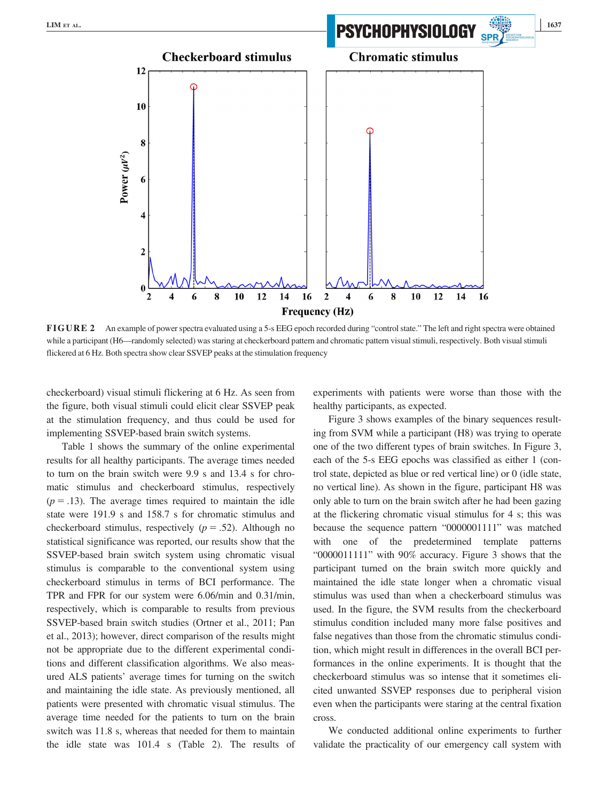

FIGURE 2 An example of power spectra evaluated using a 5-s EEG epoch recorded during "control state." The left and right spectra were obtained while a participant (H6—randomly selected) was staring at checkerboard pattern and chromatic pattern visual stimuli, respectively. Both visual stimuli flickered at 6 Hz. Both spectra show clear SSVEP peaks at the stimulation frequency

**Frequency (Hz)** 

checkerboard) visual stimuli flickering at 6 Hz. As seen from the figure, both visual stimuli could elicit clear SSVEP peak at the stimulation frequency, and thus could be used for implementing SSVEP-based brain switch systems.

Table 1 shows the summary of the online experimental results for all healthy participants. The average times needed to turn on the brain switch were 9.9 s and 13.4 s for chromatic stimulus and checkerboard stimulus, respectively  $(p = .13)$ . The average times required to maintain the idle state were 191.9 s and 158.7 s for chromatic stimulus and checkerboard stimulus, respectively ( $p = .52$ ). Although no statistical significance was reported, our results show that the SSVEP-based brain switch system using chromatic visual stimulus is comparable to the conventional system using checkerboard stimulus in terms of BCI performance. The TPR and FPR for our system were 6.06/min and 0.31/min, respectively, which is comparable to results from previous SSVEP-based brain switch studies (Ortner et al., 2011; Pan et al., 2013); however, direct comparison of the results might not be appropriate due to the different experimental conditions and different classification algorithms. We also measured ALS patients' average times for turning on the switch and maintaining the idle state. As previously mentioned, all patients were presented with chromatic visual stimulus. The average time needed for the patients to turn on the brain switch was 11.8 s, whereas that needed for them to maintain the idle state was 101.4 s (Table 2). The results of

experiments with patients were worse than those with the healthy participants, as expected.

Figure 3 shows examples of the binary sequences resulting from SVM while a participant (H8) was trying to operate one of the two different types of brain switches. In Figure 3, each of the 5-s EEG epochs was classified as either 1 (control state, depicted as blue or red vertical line) or 0 (idle state, no vertical line). As shown in the figure, participant H8 was only able to turn on the brain switch after he had been gazing at the flickering chromatic visual stimulus for 4 s; this was because the sequence pattern "0000001111" was matched with one of the predetermined template patterns "0000011111" with 90% accuracy. Figure 3 shows that the participant turned on the brain switch more quickly and maintained the idle state longer when a chromatic visual stimulus was used than when a checkerboard stimulus was used. In the figure, the SVM results from the checkerboard stimulus condition included many more false positives and false negatives than those from the chromatic stimulus condition, which might result in differences in the overall BCI performances in the online experiments. It is thought that the checkerboard stimulus was so intense that it sometimes elicited unwanted SSVEP responses due to peripheral vision even when the participants were staring at the central fixation cross.

We conducted additional online experiments to further validate the practicality of our emergency call system with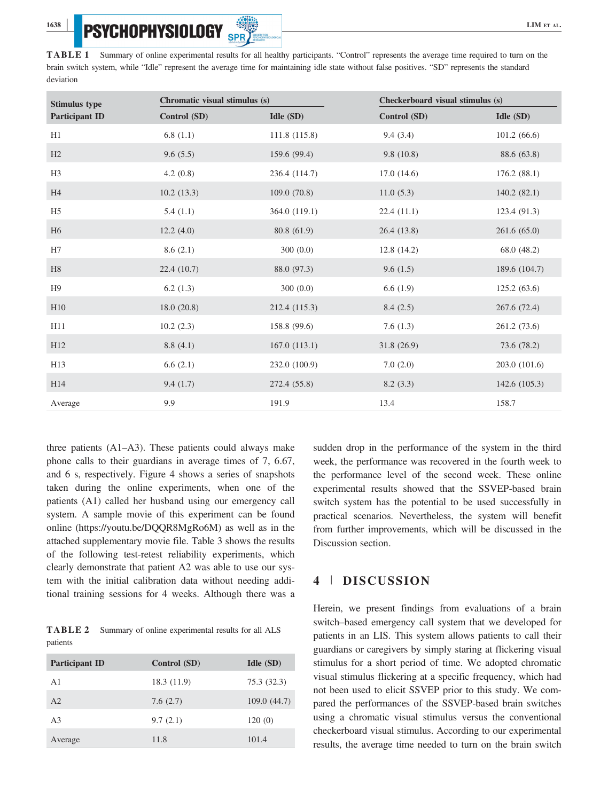

TABLE 1 Summary of online experimental results for all healthy participants. "Control" represents the average time required to turn on the brain switch system, while "Idle" represent the average time for maintaining idle state without false positives. "SD" represents the standard deviation

| <b>Stimulus type</b>  | Chromatic visual stimulus (s) |               | Checkerboard visual stimulus (s) |               |  |  |
|-----------------------|-------------------------------|---------------|----------------------------------|---------------|--|--|
| <b>Participant ID</b> | Control (SD)                  | Idle (SD)     | Control (SD)                     | Idle (SD)     |  |  |
| H1                    | 6.8(1.1)                      | 111.8 (115.8) | 9.4(3.4)                         | 101.2(66.6)   |  |  |
| H2                    | 9.6(5.5)                      | 159.6 (99.4)  | 9.8(10.8)                        | 88.6 (63.8)   |  |  |
| H <sub>3</sub>        | 4.2(0.8)                      | 236.4 (114.7) | 17.0(14.6)                       | 176.2(88.1)   |  |  |
| H <sub>4</sub>        | 10.2(13.3)                    | 109.0(70.8)   | 11.0(5.3)                        | 140.2(82.1)   |  |  |
| H <sub>5</sub>        | 5.4(1.1)                      | 364.0 (119.1) | 22.4(11.1)                       | 123.4 (91.3)  |  |  |
| H <sub>6</sub>        | 12.2(4.0)                     | 80.8 (61.9)   | 26.4(13.8)                       | 261.6(65.0)   |  |  |
| H7                    | 8.6(2.1)                      | 300(0.0)      | 12.8(14.2)                       | 68.0 (48.2)   |  |  |
| H <sub>8</sub>        | 22.4(10.7)                    | 88.0 (97.3)   | 9.6(1.5)                         | 189.6 (104.7) |  |  |
| H <sup>9</sup>        | 6.2 $(1.3)$                   | 300(0.0)      | 6.6(1.9)                         | 125.2(63.6)   |  |  |
| H10                   | 18.0(20.8)                    | 212.4 (115.3) | 8.4(2.5)                         | 267.6 (72.4)  |  |  |
| H11                   | 10.2(2.3)                     | 158.8 (99.6)  | 7.6(1.3)                         | 261.2 (73.6)  |  |  |
| H12                   | 8.8(4.1)                      | 167.0(113.1)  | 31.8(26.9)                       | 73.6 (78.2)   |  |  |
| H13                   | 6.6(2.1)                      | 232.0 (100.9) | 7.0(2.0)                         | 203.0 (101.6) |  |  |
| H14                   | 9.4(1.7)                      | 272.4 (55.8)  | 8.2(3.3)                         | 142.6(105.3)  |  |  |
| Average               | 9.9                           | 191.9         | 13.4                             | 158.7         |  |  |

three patients (A1–A3). These patients could always make phone calls to their guardians in average times of 7, 6.67, and 6 s, respectively. Figure 4 shows a series of snapshots taken during the online experiments, when one of the patients (A1) called her husband using our emergency call system. A sample movie of this experiment can be found online [\(https://youtu.be/DQQR8MgRo6M](https://youtu.be/DQQR8MgRo6M)) as well as in the attached supplementary movie file. Table 3 shows the results of the following test-retest reliability experiments, which clearly demonstrate that patient A2 was able to use our system with the initial calibration data without needing additional training sessions for 4 weeks. Although there was a

TABLE 2 Summary of online experimental results for all ALS patients

| <b>Participant ID</b> | Control (SD) | Idle (SD)   |
|-----------------------|--------------|-------------|
| A <sub>1</sub>        | 18.3 (11.9)  | 75.3 (32.3) |
| A <sub>2</sub>        | 7.6(2.7)     | 109.0(44.7) |
| A <sub>3</sub>        | 9.7(2.1)     | 120(0)      |
| Average               | 11.8         | 101.4       |

sudden drop in the performance of the system in the third week, the performance was recovered in the fourth week to the performance level of the second week. These online experimental results showed that the SSVEP-based brain switch system has the potential to be used successfully in practical scenarios. Nevertheless, the system will benefit from further improvements, which will be discussed in the Discussion section.

# 4 <sup>|</sup> DISCUSSION

Herein, we present findings from evaluations of a brain switch–based emergency call system that we developed for patients in an LIS. This system allows patients to call their guardians or caregivers by simply staring at flickering visual stimulus for a short period of time. We adopted chromatic visual stimulus flickering at a specific frequency, which had not been used to elicit SSVEP prior to this study. We compared the performances of the SSVEP-based brain switches using a chromatic visual stimulus versus the conventional checkerboard visual stimulus. According to our experimental results, the average time needed to turn on the brain switch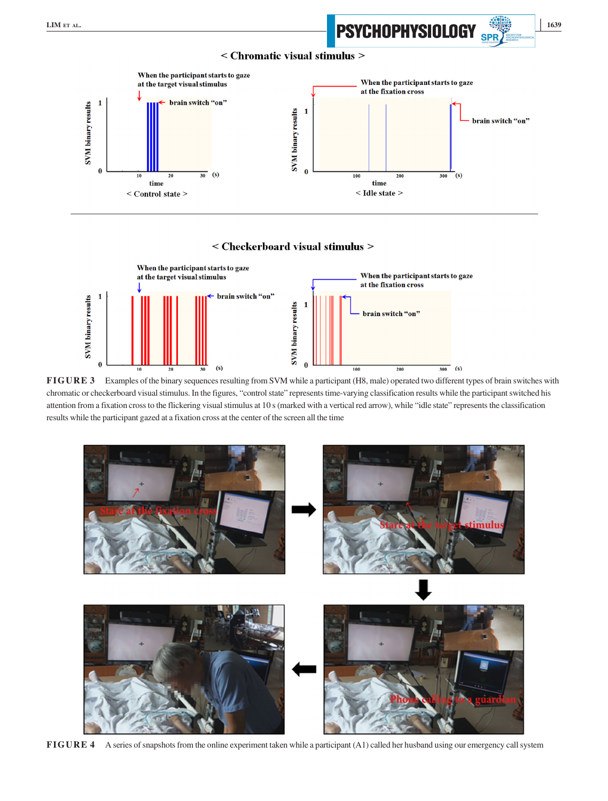

< Chromatic visual stimulus >



## < Checkerboard visual stimulus >



FIGURE 3 Examples of the binary sequences resulting from SVM while a participant (H8, male) operated two different types of brain switches with chromatic or checkerboard visual stimulus. In the figures, "control state" represents time-varying classification results while the participant switched his attention from a fixation cross to the flickering visual stimulus at 10 s (marked with a vertical red arrow), while "idle state" represents the classification results while the participant gazed at a fixation cross at the center of the screen all the time



FIGURE 4 A series of snapshots from the online experiment taken while a participant (A1) called her husband using our emergency call system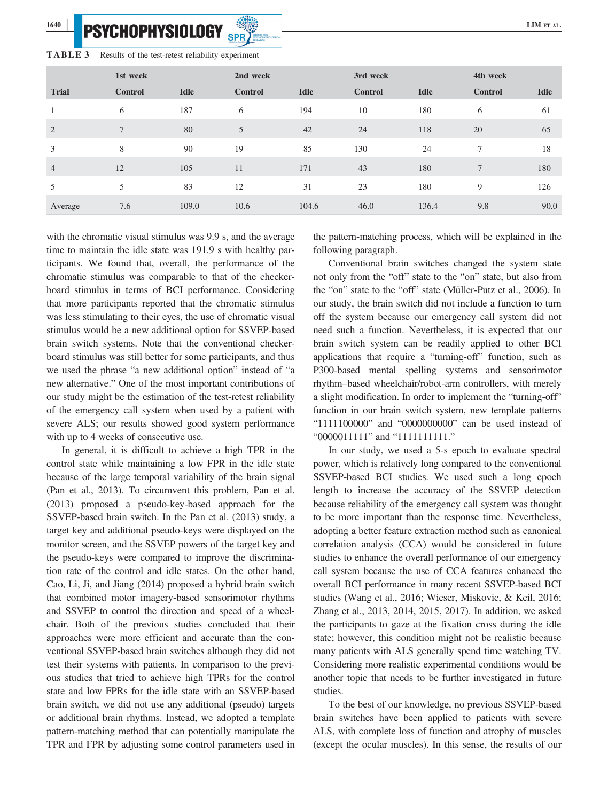TABLE 3 Results of the test-retest reliability experiment

|                | 1st week       |             | 2nd week       |             |                |             | 4th week |      |  |
|----------------|----------------|-------------|----------------|-------------|----------------|-------------|----------|------|--|
| <b>Trial</b>   | <b>Control</b> | <b>Idle</b> | <b>Control</b> | <b>Idle</b> | <b>Control</b> | <b>Idle</b> | Control  | Idle |  |
|                | 6              | 187         | 6              | 194         | 10             | 180         | 6        | 61   |  |
| 2              | $\tau$         | 80          | 5              | 42          | 24             | 118         | 20       | 65   |  |
| 3              | 8              | 90          | 19             | 85          | 130            | 24          | 7        | 18   |  |
| $\overline{4}$ | 12             | 105         | 11             | 171         | 43             | 180         | $\tau$   | 180  |  |
| 5              | 5              | 83          | 12             | 31          | 23             | 180         | 9        | 126  |  |
| Average        | 7.6            | 109.0       | 10.6           | 104.6       | 46.0           | 136.4       | 9.8      | 90.0 |  |

with the chromatic visual stimulus was 9.9 s, and the average time to maintain the idle state was 191.9 s with healthy participants. We found that, overall, the performance of the chromatic stimulus was comparable to that of the checkerboard stimulus in terms of BCI performance. Considering that more participants reported that the chromatic stimulus was less stimulating to their eyes, the use of chromatic visual stimulus would be a new additional option for SSVEP-based brain switch systems. Note that the conventional checkerboard stimulus was still better for some participants, and thus we used the phrase "a new additional option" instead of "a new alternative." One of the most important contributions of our study might be the estimation of the test-retest reliability of the emergency call system when used by a patient with severe ALS; our results showed good system performance with up to 4 weeks of consecutive use.

In general, it is difficult to achieve a high TPR in the control state while maintaining a low FPR in the idle state because of the large temporal variability of the brain signal (Pan et al., 2013). To circumvent this problem, Pan et al. (2013) proposed a pseudo-key-based approach for the SSVEP-based brain switch. In the Pan et al. (2013) study, a target key and additional pseudo-keys were displayed on the monitor screen, and the SSVEP powers of the target key and the pseudo-keys were compared to improve the discrimination rate of the control and idle states. On the other hand, Cao, Li, Ji, and Jiang (2014) proposed a hybrid brain switch that combined motor imagery-based sensorimotor rhythms and SSVEP to control the direction and speed of a wheelchair. Both of the previous studies concluded that their approaches were more efficient and accurate than the conventional SSVEP-based brain switches although they did not test their systems with patients. In comparison to the previous studies that tried to achieve high TPRs for the control state and low FPRs for the idle state with an SSVEP-based brain switch, we did not use any additional (pseudo) targets or additional brain rhythms. Instead, we adopted a template pattern-matching method that can potentially manipulate the TPR and FPR by adjusting some control parameters used in

the pattern-matching process, which will be explained in the following paragraph.

Conventional brain switches changed the system state not only from the "off" state to the "on" state, but also from the "on" state to the "off" state (Müller-Putz et al., 2006). In our study, the brain switch did not include a function to turn off the system because our emergency call system did not need such a function. Nevertheless, it is expected that our brain switch system can be readily applied to other BCI applications that require a "turning-off" function, such as P300-based mental spelling systems and sensorimotor rhythm–based wheelchair/robot-arm controllers, with merely a slight modification. In order to implement the "turning-off" function in our brain switch system, new template patterns "1111100000" and "0000000000" can be used instead of "0000011111" and "1111111111."

In our study, we used a 5-s epoch to evaluate spectral power, which is relatively long compared to the conventional SSVEP-based BCI studies. We used such a long epoch length to increase the accuracy of the SSVEP detection because reliability of the emergency call system was thought to be more important than the response time. Nevertheless, adopting a better feature extraction method such as canonical correlation analysis (CCA) would be considered in future studies to enhance the overall performance of our emergency call system because the use of CCA features enhanced the overall BCI performance in many recent SSVEP-based BCI studies (Wang et al., 2016; Wieser, Miskovic, & Keil, 2016; Zhang et al., 2013, 2014, 2015, 2017). In addition, we asked the participants to gaze at the fixation cross during the idle state; however, this condition might not be realistic because many patients with ALS generally spend time watching TV. Considering more realistic experimental conditions would be another topic that needs to be further investigated in future studies.

To the best of our knowledge, no previous SSVEP-based brain switches have been applied to patients with severe ALS, with complete loss of function and atrophy of muscles (except the ocular muscles). In this sense, the results of our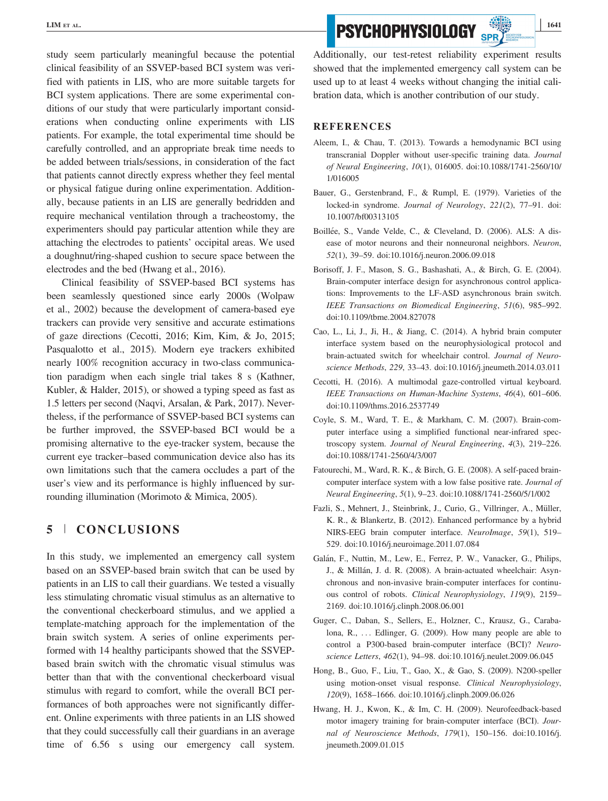study seem particularly meaningful because the potential clinical feasibility of an SSVEP-based BCI system was verified with patients in LIS, who are more suitable targets for BCI system applications. There are some experimental conditions of our study that were particularly important considerations when conducting online experiments with LIS patients. For example, the total experimental time should be carefully controlled, and an appropriate break time needs to be added between trials/sessions, in consideration of the fact that patients cannot directly express whether they feel mental or physical fatigue during online experimentation. Additionally, because patients in an LIS are generally bedridden and require mechanical ventilation through a tracheostomy, the experimenters should pay particular attention while they are attaching the electrodes to patients' occipital areas. We used a doughnut/ring-shaped cushion to secure space between the electrodes and the bed (Hwang et al., 2016).

Clinical feasibility of SSVEP-based BCI systems has been seamlessly questioned since early 2000s (Wolpaw et al., 2002) because the development of camera-based eye trackers can provide very sensitive and accurate estimations of gaze directions (Cecotti, 2016; Kim, Kim, & Jo, 2015; Pasqualotto et al., 2015). Modern eye trackers exhibited nearly 100% recognition accuracy in two-class communication paradigm when each single trial takes 8 s (Kathner, Kubler, & Halder, 2015), or showed a typing speed as fast as 1.5 letters per second (Naqvi, Arsalan, & Park, 2017). Nevertheless, if the performance of SSVEP-based BCI systems can be further improved, the SSVEP-based BCI would be a promising alternative to the eye-tracker system, because the current eye tracker–based communication device also has its own limitations such that the camera occludes a part of the user's view and its performance is highly influenced by surrounding illumination (Morimoto & Mimica, 2005).

## 5 <sup>|</sup> CONCLUSIONS

In this study, we implemented an emergency call system based on an SSVEP-based brain switch that can be used by patients in an LIS to call their guardians. We tested a visually less stimulating chromatic visual stimulus as an alternative to the conventional checkerboard stimulus, and we applied a template-matching approach for the implementation of the brain switch system. A series of online experiments performed with 14 healthy participants showed that the SSVEPbased brain switch with the chromatic visual stimulus was better than that with the conventional checkerboard visual stimulus with regard to comfort, while the overall BCI performances of both approaches were not significantly different. Online experiments with three patients in an LIS showed that they could successfully call their guardians in an average time of 6.56 s using our emergency call system.

 $\frac{LIMET AL.}{NEM SET AL.}$ 

Additionally, our test-retest reliability experiment results showed that the implemented emergency call system can be used up to at least 4 weeks without changing the initial calibration data, which is another contribution of our study.

### REFERENCES

- Aleem, I., & Chau, T. (2013). Towards a hemodynamic BCI using transcranial Doppler without user-specific training data. Journal of Neural Engineering, 10(1), 016005. doi:[10.1088/1741-2560/10/](info:doi/10.1088/1741-2560/10/1/016005) [1/016005](info:doi/10.1088/1741-2560/10/1/016005)
- Bauer, G., Gerstenbrand, F., & Rumpl, E. (1979). Varieties of the locked-in syndrome. Journal of Neurology, 221(2), 77–91. doi: [10.1007/bf00313105](info:doi/10.1007/bf00313105)
- Boillée, S., Vande Velde, C., & Cleveland, D. (2006). ALS: A disease of motor neurons and their nonneuronal neighbors. Neuron, 52(1), 39–59. doi[:10.1016/j.neuron.2006.09.018](info:doi/10.1016/j.neuron.2006.09.018)
- Borisoff, J. F., Mason, S. G., Bashashati, A., & Birch, G. E. (2004). Brain-computer interface design for asynchronous control applications: Improvements to the LF-ASD asynchronous brain switch. IEEE Transactions on Biomedical Engineering, 51(6), 985–992. doi[:10.1109/tbme.2004.827078](info:doi/10.1109/tbme.2004.827078)
- Cao, L., Li, J., Ji, H., & Jiang, C. (2014). A hybrid brain computer interface system based on the neurophysiological protocol and brain-actuated switch for wheelchair control. Journal of Neuroscience Methods, 229, 33–43. doi[:10.1016/j.jneumeth.2014.03.011](info:doi/10.1016/j.jneumeth.2014.03.011)
- Cecotti, H. (2016). A multimodal gaze-controlled virtual keyboard. IEEE Transactions on Human-Machine Systems, 46(4), 601–606. doi[:10.1109/thms.2016.2537749](info:doi/10.1109/thms.2016.2537749)
- Coyle, S. M., Ward, T. E., & Markham, C. M. (2007). Brain-computer interface using a simplified functional near-infrared spectroscopy system. Journal of Neural Engineering, 4(3), 219–226. doi[:10.1088/1741-2560/4/3/007](info:doi/10.1088/1741-2560/4/3/007)
- Fatourechi, M., Ward, R. K., & Birch, G. E. (2008). A self-paced braincomputer interface system with a low false positive rate. Journal of Neural Engineering, 5(1), 9–23. doi:[10.1088/1741-2560/5/1/002](info:doi/10.1088/1741-2560/5/1/002)
- Fazli, S., Mehnert, J., Steinbrink, J., Curio, G., Villringer, A., Müller, K. R., & Blankertz, B. (2012). Enhanced performance by a hybrid NIRS-EEG brain computer interface. NeuroImage, 59(1), 519– 529. doi:[10.1016/j.neuroimage.2011.07.084](info:doi/10.1016/j.neuroimage.2011.07.084)
- Galán, F., Nuttin, M., Lew, E., Ferrez, P. W., Vanacker, G., Philips, J., & Millan, J. d. R. (2008). A brain-actuated wheelchair: Asynchronous and non-invasive brain-computer interfaces for continuous control of robots. Clinical Neurophysiology, 119(9), 2159– 2169. doi[:10.1016/j.clinph.2008.06.001](info:doi/10.1016/j.clinph.2008.06.001)
- Guger, C., Daban, S., Sellers, E., Holzner, C., Krausz, G., Carabalona, R., ... Edlinger, G. (2009). How many people are able to control a P300-based brain-computer interface (BCI)? Neuroscience Letters, 462(1), 94–98. doi[:10.1016/j.neulet.2009.06.045](info:doi/10.1016/j.neulet.2009.06.045)
- Hong, B., Guo, F., Liu, T., Gao, X., & Gao, S. (2009). N200-speller using motion-onset visual response. Clinical Neurophysiology, 120(9), 1658–1666. doi:[10.1016/j.clinph.2009.06.026](info:doi/10.1016/j.clinph.2009.06.026)
- Hwang, H. J., Kwon, K., & Im, C. H. (2009). Neurofeedback-based motor imagery training for brain-computer interface (BCI). Journal of Neuroscience Methods, 179(1), 150–156. doi[:10.1016/j.](info:doi/10.1016/j.jneumeth.2009.01.015) [jneumeth.2009.01.015](info:doi/10.1016/j.jneumeth.2009.01.015)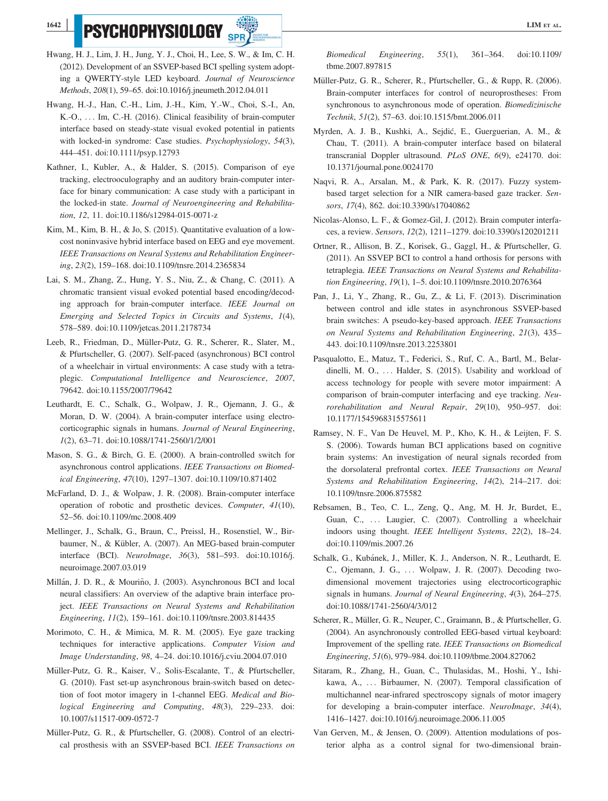- Hwang, H. J., Lim, J. H., Jung, Y. J., Choi, H., Lee, S. W., & Im, C. H. (2012). Development of an SSVEP-based BCI spelling system adopting a QWERTY-style LED keyboard. Journal of Neuroscience Methods, 208(1), 59–65. doi[:10.1016/j.jneumeth.2012.04.011](info:doi/10.1016/j.jneumeth.2012.04.011)
- Hwang, H.-J., Han, C.-H., Lim, J.-H., Kim, Y.-W., Choi, S.-I., An, K.-O., ... Im, C.-H. (2016). Clinical feasibility of brain-computer interface based on steady-state visual evoked potential in patients with locked-in syndrome: Case studies. Psychophysiology, 54(3), 444–451. doi[:10.1111/psyp.12793](info:doi/10.1111/psyp.12793)
- Kathner, I., Kubler, A., & Halder, S. (2015). Comparison of eye tracking, electrooculography and an auditory brain-computer interface for binary communication: A case study with a participant in the locked-in state. Journal of Neuroengineering and Rehabilitation, 12, 11. doi:[10.1186/s12984-015-0071-z](info:doi/10.1186/s12984-015-0071-z)
- Kim, M., Kim, B. H., & Jo, S. (2015). Quantitative evaluation of a lowcost noninvasive hybrid interface based on EEG and eye movement. IEEE Transactions on Neural Systems and Rehabilitation Engineering, 23(2), 159–168. doi:[10.1109/tnsre.2014.2365834](info:doi/10.1109/tnsre.2014.2365834)
- Lai, S. M., Zhang, Z., Hung, Y. S., Niu, Z., & Chang, C. (2011). A chromatic transient visual evoked potential based encoding/decoding approach for brain-computer interface. IEEE Journal on Emerging and Selected Topics in Circuits and Systems, 1(4), 578–589. doi[:10.1109/jetcas.2011.2178734](info:doi/10.1109/jetcas.2011.2178734)
- Leeb, R., Friedman, D., Müller-Putz, G. R., Scherer, R., Slater, M., & Pfurtscheller, G. (2007). Self-paced (asynchronous) BCI control of a wheelchair in virtual environments: A case study with a tetraplegic. Computational Intelligence and Neuroscience, 2007, 79642. doi:[10.1155/2007/79642](info:doi/10.1155/2007/79642)
- Leuthardt, E. C., Schalk, G., Wolpaw, J. R., Ojemann, J. G., & Moran, D. W. (2004). A brain-computer interface using electrocorticographic signals in humans. Journal of Neural Engineering, 1(2), 63–71. doi:[10.1088/1741-2560/1/2/001](info:doi/10.1088/1741-2560/1/2/001)
- Mason, S. G., & Birch, G. E. (2000). A brain-controlled switch for asynchronous control applications. IEEE Transactions on Biomedical Engineering, 47(10), 1297–1307. doi[:10.1109/10.871402](info:doi/10.1109/10.871402)
- McFarland, D. J., & Wolpaw, J. R. (2008). Brain-computer interface operation of robotic and prosthetic devices. Computer, 41(10), 52–56. doi:[10.1109/mc.2008.409](info:doi/10.1109/mc.2008.409)
- Mellinger, J., Schalk, G., Braun, C., Preissl, H., Rosenstiel, W., Birbaumer, N., & Kübler, A. (2007). An MEG-based brain-computer interface (BCI). NeuroImage, 36(3), 581–593. doi:[10.1016/j.](info:doi/10.1016/j.neuroimage.2007.03.019) [neuroimage.2007.03.019](info:doi/10.1016/j.neuroimage.2007.03.019)
- Millán, J. D. R., & Mouriño, J. (2003). Asynchronous BCI and local neural classifiers: An overview of the adaptive brain interface project. IEEE Transactions on Neural Systems and Rehabilitation Engineering, 11(2), 159–161. doi[:10.1109/tnsre.2003.814435](info:doi/10.1109/tnsre.2003.814435)
- Morimoto, C. H., & Mimica, M. R. M. (2005). Eye gaze tracking techniques for interactive applications. Computer Vision and Image Understanding, 98, 4–24. doi:[10.1016/j.cviu.2004.07.010](info:doi/10.1016/j.cviu.2004.07.010)
- Müller-Putz, G. R., Kaiser, V., Solis-Escalante, T., & Pfurtscheller, G. (2010). Fast set-up asynchronous brain-switch based on detection of foot motor imagery in 1-channel EEG. Medical and Biological Engineering and Computing, 48(3), 229–233. doi: [10.1007/s11517-009-0572-7](info:doi/10.1007/s11517-009-0572-7)
- Müller-Putz, G. R., & Pfurtscheller, G. (2008). Control of an electrical prosthesis with an SSVEP-based BCI. IEEE Transactions on

Biomedical Engineering, 55(1), 361–364. doi:[10.1109/](info:doi/10.1109/tbme.2007.897815) [tbme.2007.897815](info:doi/10.1109/tbme.2007.897815)

- Müller-Putz, G. R., Scherer, R., Pfurtscheller, G., & Rupp, R. (2006). Brain-computer interfaces for control of neuroprostheses: From synchronous to asynchronous mode of operation. Biomedizinische Technik, 51(2), 57–63. doi[:10.1515/bmt.2006.011](info:doi/10.1515/bmt.2006.011)
- Myrden, A. J. B., Kushki, A., Sejdić, E., Guerguerian, A. M., & Chau, T. (2011). A brain-computer interface based on bilateral transcranial Doppler ultrasound. PLoS ONE, 6(9), e24170. doi: [10.1371/journal.pone.0024170](info:doi/10.1371/journal.pone.0024170)
- Naqvi, R. A., Arsalan, M., & Park, K. R. (2017). Fuzzy systembased target selection for a NIR camera-based gaze tracker. Sensors, 17(4), 862. doi[:10.3390/s17040862](info:doi/10.3390/s17040862)
- Nicolas-Alonso, L. F., & Gomez-Gil, J. (2012). Brain computer interfaces, a review. Sensors, 12(2), 1211–1279. doi[:10.3390/s120201211](info:doi/10.3390/s120201211)
- Ortner, R., Allison, B. Z., Korisek, G., Gaggl, H., & Pfurtscheller, G. (2011). An SSVEP BCI to control a hand orthosis for persons with tetraplegia. IEEE Transactions on Neural Systems and Rehabilitation Engineering, 19(1), 1–5. doi:[10.1109/tnsre.2010.2076364](info:doi/10.1109/tnsre.2010.2076364)
- Pan, J., Li, Y., Zhang, R., Gu, Z., & Li, F. (2013). Discrimination between control and idle states in asynchronous SSVEP-based brain switches: A pseudo-key-based approach. IEEE Transactions on Neural Systems and Rehabilitation Engineering, 21(3), 435– 443. doi:[10.1109/tnsre.2013.2253801](info:doi/10.1109/tnsre.2013.2253801)
- Pasqualotto, E., Matuz, T., Federici, S., Ruf, C. A., Bartl, M., Belardinelli, M. O., ... Halder, S. (2015). Usability and workload of access technology for people with severe motor impairment: A comparison of brain-computer interfacing and eye tracking. Neurorehabilitation and Neural Repair, 29(10), 950–957. doi: [10.1177/1545968315575611](info:doi/10.1177/1545968315575611)
- Ramsey, N. F., Van De Heuvel, M. P., Kho, K. H., & Leijten, F. S. S. (2006). Towards human BCI applications based on cognitive brain systems: An investigation of neural signals recorded from the dorsolateral prefrontal cortex. IEEE Transactions on Neural Systems and Rehabilitation Engineering, 14(2), 214–217. doi: [10.1109/tnsre.2006.875582](info:doi/10.1109/tnsre.2006.875582)
- Rebsamen, B., Teo, C. L., Zeng, Q., Ang, M. H. Jr, Burdet, E., Guan, C., ... Laugier, C. (2007). Controlling a wheelchair indoors using thought. IEEE Intelligent Systems, 22(2), 18–24. doi[:10.1109/mis.2007.26](info:doi/10.1109/mis.2007.26)
- Schalk, G., Kubánek, J., Miller, K. J., Anderson, N. R., Leuthardt, E. C., Ojemann, J. G., ... Wolpaw, J. R. (2007). Decoding twodimensional movement trajectories using electrocorticographic signals in humans. Journal of Neural Engineering, 4(3), 264–275. doi[:10.1088/1741-2560/4/3/012](info:doi/10.1088/1741-2560/4/3/012)
- Scherer, R., Müller, G. R., Neuper, C., Graimann, B., & Pfurtscheller, G. (2004). An asynchronously controlled EEG-based virtual keyboard: Improvement of the spelling rate. IEEE Transactions on Biomedical Engineering, 51(6), 979–984. doi[:10.1109/tbme.2004.827062](info:doi/10.1109/tbme.2004.827062)
- Sitaram, R., Zhang, H., Guan, C., Thulasidas, M., Hoshi, Y., Ishikawa, A., ... Birbaumer, N. (2007). Temporal classification of multichannel near-infrared spectroscopy signals of motor imagery for developing a brain-computer interface. NeuroImage, 34(4), 1416–1427. doi[:10.1016/j.neuroimage.2006.11.005](info:doi/10.1016/j.neuroimage.2006.11.005)
- Van Gerven, M., & Jensen, O. (2009). Attention modulations of posterior alpha as a control signal for two-dimensional brain-